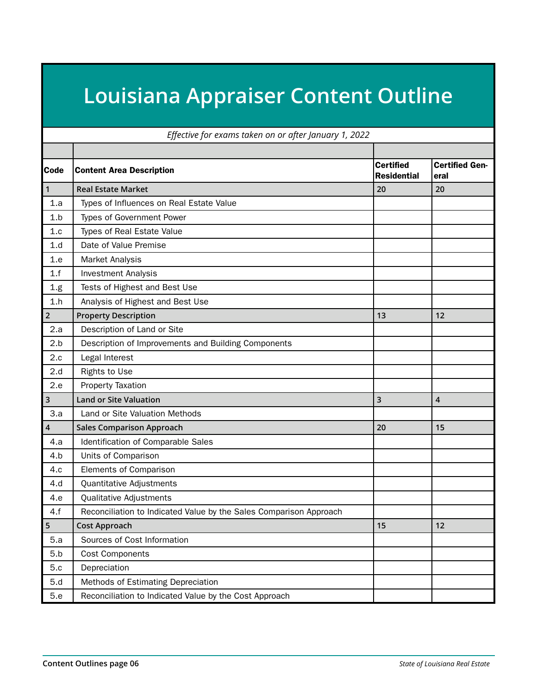## **Louisiana Appraiser Content Outline**

|                | Effective for exams taken on or after January 1, 2022              |                                        |                               |  |  |
|----------------|--------------------------------------------------------------------|----------------------------------------|-------------------------------|--|--|
|                |                                                                    |                                        |                               |  |  |
| Code           | <b>Content Area Description</b>                                    | <b>Certified</b><br><b>Residential</b> | <b>Certified Gen-</b><br>eral |  |  |
| $\mathbf{1}$   | <b>Real Estate Market</b>                                          | 20                                     | 20                            |  |  |
| 1.a            | Types of Influences on Real Estate Value                           |                                        |                               |  |  |
| 1.b            | Types of Government Power                                          |                                        |                               |  |  |
| 1.c            | <b>Types of Real Estate Value</b>                                  |                                        |                               |  |  |
| 1.d            | Date of Value Premise                                              |                                        |                               |  |  |
| 1.e            | Market Analysis                                                    |                                        |                               |  |  |
| 1.f            | <b>Investment Analysis</b>                                         |                                        |                               |  |  |
| 1.g            | Tests of Highest and Best Use                                      |                                        |                               |  |  |
| 1.h            | Analysis of Highest and Best Use                                   |                                        |                               |  |  |
| $\overline{2}$ | <b>Property Description</b>                                        | 13                                     | 12                            |  |  |
| 2.a            | Description of Land or Site                                        |                                        |                               |  |  |
| 2.b            | Description of Improvements and Building Components                |                                        |                               |  |  |
| 2.c            | Legal Interest                                                     |                                        |                               |  |  |
| 2.d            | <b>Rights to Use</b>                                               |                                        |                               |  |  |
| 2.e            | Property Taxation                                                  |                                        |                               |  |  |
| 3              | <b>Land or Site Valuation</b>                                      | $\overline{\mathbf{3}}$                | $\overline{4}$                |  |  |
| 3.a            | Land or Site Valuation Methods                                     |                                        |                               |  |  |
| 4              | <b>Sales Comparison Approach</b>                                   | 20                                     | 15                            |  |  |
| 4.a            | Identification of Comparable Sales                                 |                                        |                               |  |  |
| 4.b            | Units of Comparison                                                |                                        |                               |  |  |
| 4.c            | Elements of Comparison                                             |                                        |                               |  |  |
| 4.d            | Quantitative Adjustments                                           |                                        |                               |  |  |
| 4.e            | Qualitative Adjustments                                            |                                        |                               |  |  |
| 4.f            | Reconciliation to Indicated Value by the Sales Comparison Approach |                                        |                               |  |  |
| 5              | <b>Cost Approach</b>                                               | 15                                     | 12                            |  |  |
| 5.a            | Sources of Cost Information                                        |                                        |                               |  |  |
| 5.b            | <b>Cost Components</b>                                             |                                        |                               |  |  |
| 5.c            | Depreciation                                                       |                                        |                               |  |  |
| 5.d            | Methods of Estimating Depreciation                                 |                                        |                               |  |  |
| 5.e            | Reconciliation to Indicated Value by the Cost Approach             |                                        |                               |  |  |